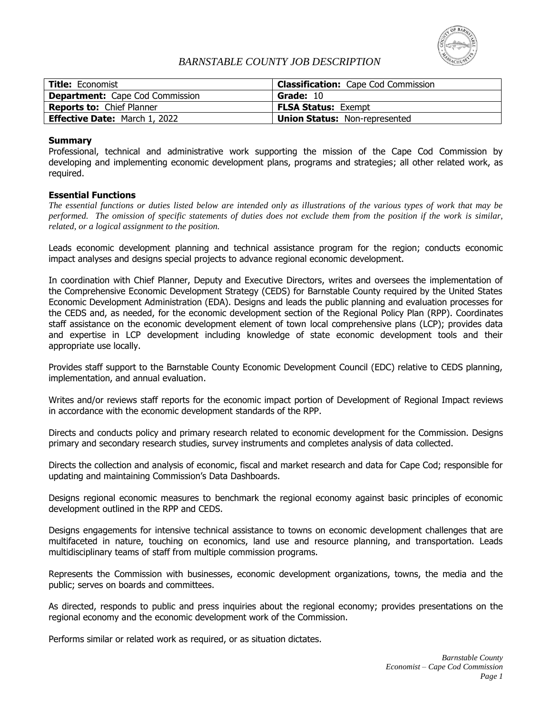

# *BARNSTABLE COUNTY JOB DESCRIPTION*

| <b>Title: Economist</b>                | <b>Classification:</b> Cape Cod Commission |
|----------------------------------------|--------------------------------------------|
| <b>Department:</b> Cape Cod Commission | Grade: 10                                  |
| <b>Reports to: Chief Planner</b>       | <b>FLSA Status: Exempt</b>                 |
| <b>Effective Date: March 1, 2022</b>   | <b>Union Status: Non-represented</b>       |

## **Summary**

Professional, technical and administrative work supporting the mission of the Cape Cod Commission by developing and implementing economic development plans, programs and strategies; all other related work, as required.

# **Essential Functions**

*The essential functions or duties listed below are intended only as illustrations of the various types of work that may be performed. The omission of specific statements of duties does not exclude them from the position if the work is similar, related, or a logical assignment to the position.*

Leads economic development planning and technical assistance program for the region; conducts economic impact analyses and designs special projects to advance regional economic development.

In coordination with Chief Planner, Deputy and Executive Directors, writes and oversees the implementation of the Comprehensive Economic Development Strategy (CEDS) for Barnstable County required by the United States Economic Development Administration (EDA). Designs and leads the public planning and evaluation processes for the CEDS and, as needed, for the economic development section of the Regional Policy Plan (RPP). Coordinates staff assistance on the economic development element of town local comprehensive plans (LCP); provides data and expertise in LCP development including knowledge of state economic development tools and their appropriate use locally.

Provides staff support to the Barnstable County Economic Development Council (EDC) relative to CEDS planning, implementation, and annual evaluation.

Writes and/or reviews staff reports for the economic impact portion of Development of Regional Impact reviews in accordance with the economic development standards of the RPP.

Directs and conducts policy and primary research related to economic development for the Commission. Designs primary and secondary research studies, survey instruments and completes analysis of data collected.

Directs the collection and analysis of economic, fiscal and market research and data for Cape Cod; responsible for updating and maintaining Commission's Data Dashboards.

Designs regional economic measures to benchmark the regional economy against basic principles of economic development outlined in the RPP and CEDS.

Designs engagements for intensive technical assistance to towns on economic development challenges that are multifaceted in nature, touching on economics, land use and resource planning, and transportation. Leads multidisciplinary teams of staff from multiple commission programs.

Represents the Commission with businesses, economic development organizations, towns, the media and the public; serves on boards and committees.

As directed, responds to public and press inquiries about the regional economy; provides presentations on the regional economy and the economic development work of the Commission.

Performs similar or related work as required, or as situation dictates.